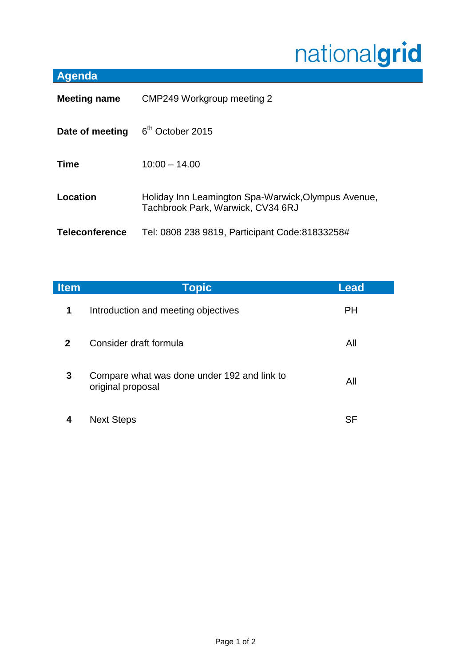## nationalgrid

## **Agenda**

| <b>Meeting name</b>   | CMP249 Workgroup meeting 2                                                               |  |
|-----------------------|------------------------------------------------------------------------------------------|--|
| Date of meeting       | 6 <sup>th</sup> October 2015                                                             |  |
| <b>Time</b>           | $10:00 - 14.00$                                                                          |  |
| Location              | Holiday Inn Leamington Spa-Warwick, Olympus Avenue,<br>Tachbrook Park, Warwick, CV34 6RJ |  |
| <b>Teleconference</b> | Tel: 0808 238 9819, Participant Code: 81833258#                                          |  |

| <b>Item</b> | Topic                                                            | <b>Lead</b> |
|-------------|------------------------------------------------------------------|-------------|
| $\mathbf 1$ | Introduction and meeting objectives                              | <b>PH</b>   |
| $2^{\circ}$ | Consider draft formula                                           | All         |
| 3           | Compare what was done under 192 and link to<br>original proposal | All         |
| 4           | <b>Next Steps</b>                                                | SF          |